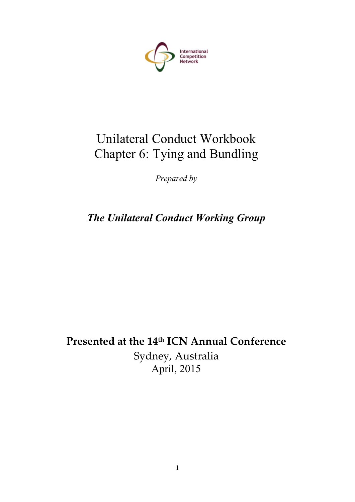

# Unilateral Conduct Workbook Chapter 6: Tying and Bundling

*Prepared by*

*The Unilateral Conduct Working Group*

**Presented at the 14th ICN Annual Conference** Sydney, Australia April, 2015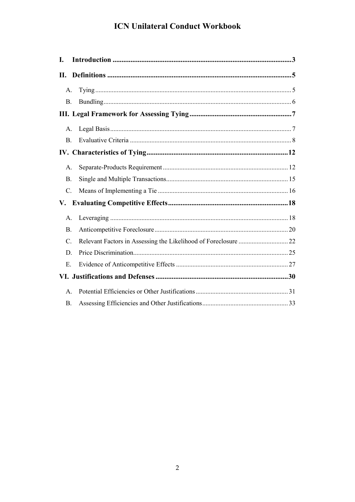| I.              |  |  |
|-----------------|--|--|
|                 |  |  |
| А.              |  |  |
| <b>B.</b>       |  |  |
|                 |  |  |
| A.              |  |  |
| $\mathbf{B}$ .  |  |  |
|                 |  |  |
| А.              |  |  |
| <b>B</b> .      |  |  |
| $\mathcal{C}$ . |  |  |
|                 |  |  |
| $\mathsf{A}$ .  |  |  |
| <b>B</b> .      |  |  |
| $\mathcal{C}$ . |  |  |
| D               |  |  |
| E.              |  |  |
|                 |  |  |
| $\mathsf{A}$ .  |  |  |
| <b>B.</b>       |  |  |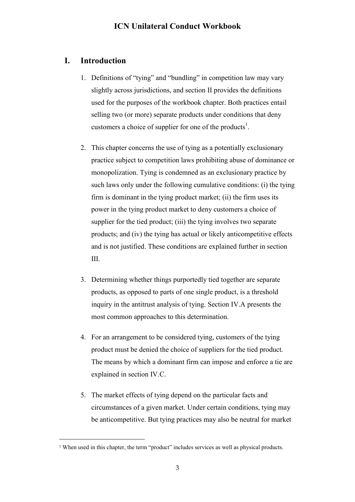## <span id="page-2-0"></span>**I. Introduction**

- 1. Definitions of "tying" and "bundling" in competition law may vary slightly across jurisdictions, and section II provides the definitions used for the purposes of the workbook chapter. Both practices entail selling two (or more) separate products under conditions that deny customers a choice of supplier for one of the products<sup>1</sup>.
- 2. This chapter concerns the use of tying as a potentially exclusionary practice subject to competition laws prohibiting abuse of dominance or monopolization. Tying is condemned as an exclusionary practice by such laws only under the following cumulative conditions: (i) the tying firm is dominant in the tying product market; (ii) the firm uses its power in the tying product market to deny customers a choice of supplier for the tied product; (iii) the tying involves two separate products; and (iv) the tying has actual or likely anticompetitive effects and is not justified. These conditions are explained further in section III.
- 3. Determining whether things purportedly tied together are separate products, as opposed to parts of one single product, is a threshold inquiry in the antitrust analysis of tying. Section IV.A presents the most common approaches to this determination.
- 4. For an arrangement to be considered tying, customers of the tying product must be denied the choice of suppliers for the tied product. The means by which a dominant firm can impose and enforce a tie are explained in section IV.C.
- 5. The market effects of tying depend on the particular facts and circumstances of a given market. Under certain conditions, tying may be anticompetitive. But tying practices may also be neutral for market

<sup>&</sup>lt;sup>1</sup> When used in this chapter, the term "product" includes services as well as physical products.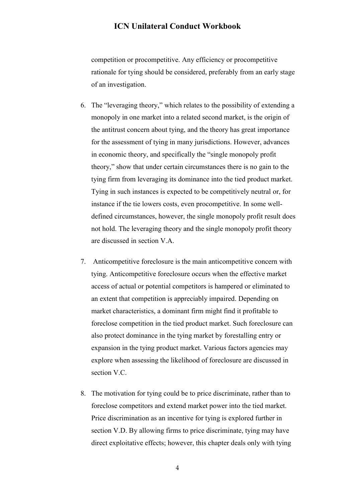competition or procompetitive. Any efficiency or procompetitive rationale for tying should be considered, preferably from an early stage of an investigation.

- 6. The "leveraging theory," which relates to the possibility of extending a monopoly in one market into a related second market, is the origin of the antitrust concern about tying, and the theory has great importance for the assessment of tying in many jurisdictions. However, advances in economic theory, and specifically the "single monopoly profit theory," show that under certain circumstances there is no gain to the tying firm from leveraging its dominance into the tied product market. Tying in such instances is expected to be competitively neutral or, for instance if the tie lowers costs, even procompetitive. In some welldefined circumstances, however, the single monopoly profit result does not hold. The leveraging theory and the single monopoly profit theory are discussed in section V.A.
- 7. Anticompetitive foreclosure is the main anticompetitive concern with tying. Anticompetitive foreclosure occurs when the effective market access of actual or potential competitors is hampered or eliminated to an extent that competition is appreciably impaired. Depending on market characteristics, a dominant firm might find it profitable to foreclose competition in the tied product market. Such foreclosure can also protect dominance in the tying market by forestalling entry or expansion in the tying product market. Various factors agencies may explore when assessing the likelihood of foreclosure are discussed in section V.C.
- 8. The motivation for tying could be to price discriminate, rather than to foreclose competitors and extend market power into the tied market. Price discrimination as an incentive for tying is explored further in section V.D. By allowing firms to price discriminate, tying may have direct exploitative effects; however, this chapter deals only with tying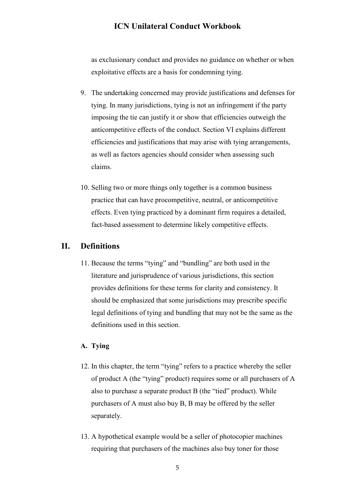as exclusionary conduct and provides no guidance on whether or when exploitative effects are a basis for condemning tying.

- 9. The undertaking concerned may provide justifications and defenses for tying. In many jurisdictions, tying is not an infringement if the party imposing the tie can justify it or show that efficiencies outweigh the anticompetitive effects of the conduct. Section VI explains different efficiencies and justifications that may arise with tying arrangements, as well as factors agencies should consider when assessing such claims.
- 10. Selling two or more things only together is a common business practice that can have procompetitive, neutral, or anticompetitive effects. Even tying practiced by a dominant firm requires a detailed, fact-based assessment to determine likely competitive effects.

## <span id="page-4-0"></span>**II. Definitions**

11. Because the terms "tying" and "bundling" are both used in the literature and jurisprudence of various jurisdictions, this section provides definitions for these terms for clarity and consistency. It should be emphasized that some jurisdictions may prescribe specific legal definitions of tying and bundling that may not be the same as the definitions used in this section.

## <span id="page-4-1"></span>**A. Tying**

- 12. In this chapter, the term "tying" refers to a practice whereby the seller of product A (the "tying" product) requires some or all purchasers of A also to purchase a separate product B (the "tied" product). While purchasers of A must also buy B, B may be offered by the seller separately.
- 13. A hypothetical example would be a seller of photocopier machines requiring that purchasers of the machines also buy toner for those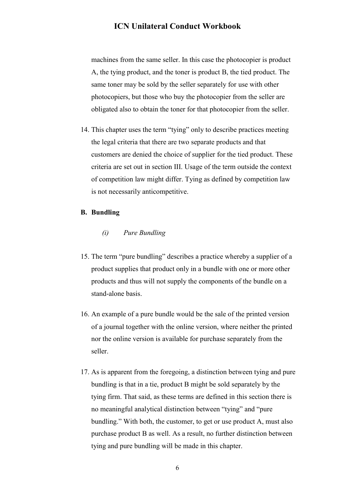machines from the same seller. In this case the photocopier is product A, the tying product, and the toner is product B, the tied product. The same toner may be sold by the seller separately for use with other photocopiers, but those who buy the photocopier from the seller are obligated also to obtain the toner for that photocopier from the seller.

14. This chapter uses the term "tying" only to describe practices meeting the legal criteria that there are two separate products and that customers are denied the choice of supplier for the tied product. These criteria are set out in section III. Usage of the term outside the context of competition law might differ. Tying as defined by competition law is not necessarily anticompetitive.

#### <span id="page-5-0"></span>**B. Bundling**

#### *(i) Pure Bundling*

- 15. The term "pure bundling" describes a practice whereby a supplier of a product supplies that product only in a bundle with one or more other products and thus will not supply the components of the bundle on a stand-alone basis.
- 16. An example of a pure bundle would be the sale of the printed version of a journal together with the online version, where neither the printed nor the online version is available for purchase separately from the seller.
- 17. As is apparent from the foregoing, a distinction between tying and pure bundling is that in a tie, product B might be sold separately by the tying firm. That said, as these terms are defined in this section there is no meaningful analytical distinction between "tying" and "pure bundling." With both, the customer, to get or use product A, must also purchase product B as well. As a result, no further distinction between tying and pure bundling will be made in this chapter.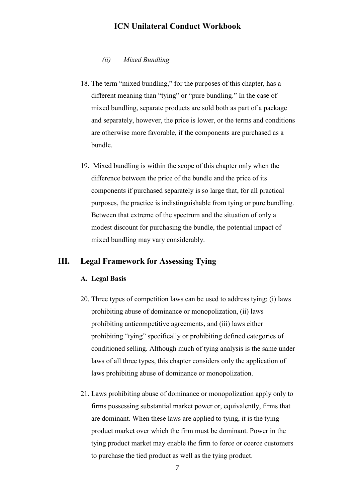#### *(ii) Mixed Bundling*

- 18. The term "mixed bundling," for the purposes of this chapter, has a different meaning than "tying" or "pure bundling." In the case of mixed bundling, separate products are sold both as part of a package and separately, however, the price is lower, or the terms and conditions are otherwise more favorable, if the components are purchased as a bundle.
- 19. Mixed bundling is within the scope of this chapter only when the difference between the price of the bundle and the price of its components if purchased separately is so large that, for all practical purposes, the practice is indistinguishable from tying or pure bundling. Between that extreme of the spectrum and the situation of only a modest discount for purchasing the bundle, the potential impact of mixed bundling may vary considerably.

## <span id="page-6-1"></span><span id="page-6-0"></span>**III. Legal Framework for Assessing Tying**

#### **A. Legal Basis**

- 20. Three types of competition laws can be used to address tying: (i) laws prohibiting abuse of dominance or monopolization, (ii) laws prohibiting anticompetitive agreements, and (iii) laws either prohibiting "tying" specifically or prohibiting defined categories of conditioned selling. Although much of tying analysis is the same under laws of all three types, this chapter considers only the application of laws prohibiting abuse of dominance or monopolization.
- 21. Laws prohibiting abuse of dominance or monopolization apply only to firms possessing substantial market power or, equivalently, firms that are dominant. When these laws are applied to tying, it is the tying product market over which the firm must be dominant. Power in the tying product market may enable the firm to force or coerce customers to purchase the tied product as well as the tying product.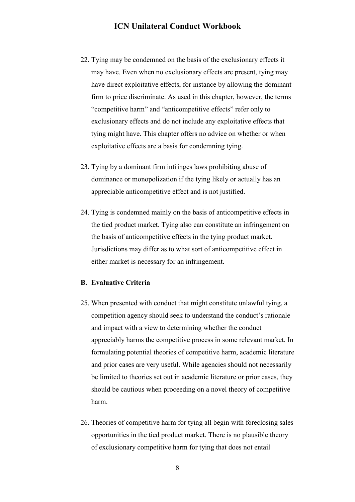- 22. Tying may be condemned on the basis of the exclusionary effects it may have. Even when no exclusionary effects are present, tying may have direct exploitative effects, for instance by allowing the dominant firm to price discriminate. As used in this chapter, however, the terms "competitive harm" and "anticompetitive effects" refer only to exclusionary effects and do not include any exploitative effects that tying might have. This chapter offers no advice on whether or when exploitative effects are a basis for condemning tying.
- 23. Tying by a dominant firm infringes laws prohibiting abuse of dominance or monopolization if the tying likely or actually has an appreciable anticompetitive effect and is not justified.
- 24. Tying is condemned mainly on the basis of anticompetitive effects in the tied product market. Tying also can constitute an infringement on the basis of anticompetitive effects in the tying product market. Jurisdictions may differ as to what sort of anticompetitive effect in either market is necessary for an infringement.

#### <span id="page-7-0"></span>**B. Evaluative Criteria**

- 25. When presented with conduct that might constitute unlawful tying, a competition agency should seek to understand the conduct's rationale and impact with a view to determining whether the conduct appreciably harms the competitive process in some relevant market. In formulating potential theories of competitive harm, academic literature and prior cases are very useful. While agencies should not necessarily be limited to theories set out in academic literature or prior cases, they should be cautious when proceeding on a novel theory of competitive harm.
- 26. Theories of competitive harm for tying all begin with foreclosing sales opportunities in the tied product market. There is no plausible theory of exclusionary competitive harm for tying that does not entail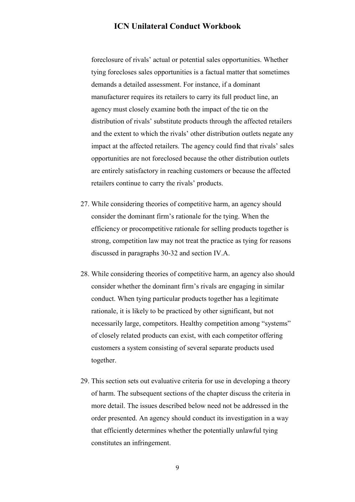foreclosure of rivals' actual or potential sales opportunities. Whether tying forecloses sales opportunities is a factual matter that sometimes demands a detailed assessment. For instance, if a dominant manufacturer requires its retailers to carry its full product line, an agency must closely examine both the impact of the tie on the distribution of rivals' substitute products through the affected retailers and the extent to which the rivals' other distribution outlets negate any impact at the affected retailers. The agency could find that rivals' sales opportunities are not foreclosed because the other distribution outlets are entirely satisfactory in reaching customers or because the affected retailers continue to carry the rivals' products.

- 27. While considering theories of competitive harm, an agency should consider the dominant firm's rationale for the tying. When the efficiency or procompetitive rationale for selling products together is strong, competition law may not treat the practice as tying for reasons discussed in paragraphs 30-32 and section IV.A.
- 28. While considering theories of competitive harm, an agency also should consider whether the dominant firm's rivals are engaging in similar conduct. When tying particular products together has a legitimate rationale, it is likely to be practiced by other significant, but not necessarily large, competitors. Healthy competition among "systems" of closely related products can exist, with each competitor offering customers a system consisting of several separate products used together.
- 29. This section sets out evaluative criteria for use in developing a theory of harm. The subsequent sections of the chapter discuss the criteria in more detail. The issues described below need not be addressed in the order presented. An agency should conduct its investigation in a way that efficiently determines whether the potentially unlawful tying constitutes an infringement.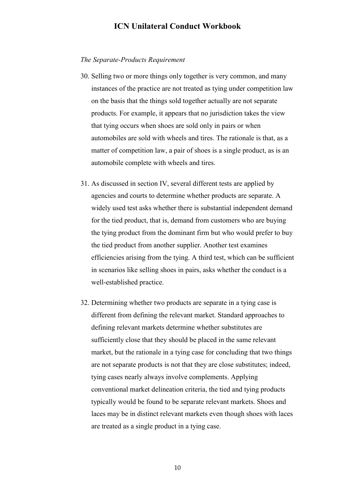#### *The Separate-Products Requirement*

- 30. Selling two or more things only together is very common, and many instances of the practice are not treated as tying under competition law on the basis that the things sold together actually are not separate products. For example, it appears that no jurisdiction takes the view that tying occurs when shoes are sold only in pairs or when automobiles are sold with wheels and tires. The rationale is that, as a matter of competition law, a pair of shoes is a single product, as is an automobile complete with wheels and tires.
- 31. As discussed in section IV, several different tests are applied by agencies and courts to determine whether products are separate. A widely used test asks whether there is substantial independent demand for the tied product, that is, demand from customers who are buying the tying product from the dominant firm but who would prefer to buy the tied product from another supplier. Another test examines efficiencies arising from the tying. A third test, which can be sufficient in scenarios like selling shoes in pairs, asks whether the conduct is a well-established practice.
- 32. Determining whether two products are separate in a tying case is different from defining the relevant market. Standard approaches to defining relevant markets determine whether substitutes are sufficiently close that they should be placed in the same relevant market, but the rationale in a tying case for concluding that two things are not separate products is not that they are close substitutes; indeed, tying cases nearly always involve complements. Applying conventional market delineation criteria, the tied and tying products typically would be found to be separate relevant markets. Shoes and laces may be in distinct relevant markets even though shoes with laces are treated as a single product in a tying case.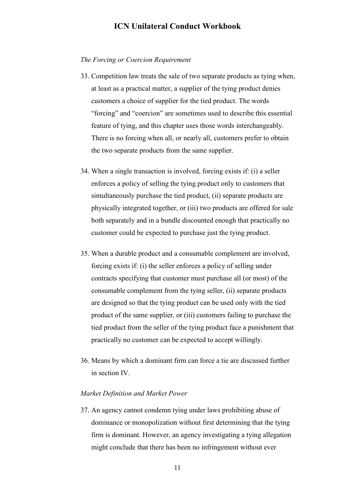#### *The Forcing or Coercion Requirement*

- 33. Competition law treats the sale of two separate products as tying when, at least as a practical matter, a supplier of the tying product denies customers a choice of supplier for the tied product. The words "forcing" and "coercion" are sometimes used to describe this essential feature of tying, and this chapter uses those words interchangeably. There is no forcing when all, or nearly all, customers prefer to obtain the two separate products from the same supplier.
- 34. When a single transaction is involved, forcing exists if: (i) a seller enforces a policy of selling the tying product only to customers that simultaneously purchase the tied product, (ii) separate products are physically integrated together, or (iii) two products are offered for sale both separately and in a bundle discounted enough that practically no customer could be expected to purchase just the tying product.
- 35. When a durable product and a consumable complement are involved, forcing exists if: (i) the seller enforces a policy of selling under contracts specifying that customer must purchase all (or most) of the consumable complement from the tying seller, (ii) separate products are designed so that the tying product can be used only with the tied product of the same supplier, or (iii) customers failing to purchase the tied product from the seller of the tying product face a punishment that practically no customer can be expected to accept willingly.
- 36. Means by which a dominant firm can force a tie are discussed further in section IV.

#### *Market Definition and Market Power*

37. An agency cannot condemn tying under laws prohibiting abuse of dominance or monopolization without first determining that the tying firm is dominant. However, an agency investigating a tying allegation might conclude that there has been no infringement without ever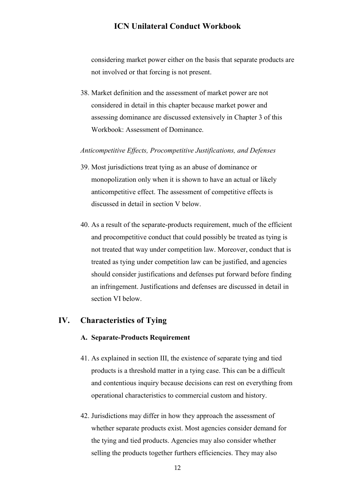considering market power either on the basis that separate products are not involved or that forcing is not present.

38. Market definition and the assessment of market power are not considered in detail in this chapter because market power and assessing dominance are discussed extensively in Chapter 3 of this Workbook: Assessment of Dominance.

#### *Anticompetitive Effects, Procompetitive Justifications, and Defenses*

- 39. Most jurisdictions treat tying as an abuse of dominance or monopolization only when it is shown to have an actual or likely anticompetitive effect. The assessment of competitive effects is discussed in detail in section V below.
- 40. As a result of the separate-products requirement, much of the efficient and procompetitive conduct that could possibly be treated as tying is not treated that way under competition law. Moreover, conduct that is treated as tying under competition law can be justified, and agencies should consider justifications and defenses put forward before finding an infringement. Justifications and defenses are discussed in detail in section VI below.

## <span id="page-11-1"></span><span id="page-11-0"></span>**IV. Characteristics of Tying**

#### **A. Separate-Products Requirement**

- 41. As explained in section III, the existence of separate tying and tied products is a threshold matter in a tying case. This can be a difficult and contentious inquiry because decisions can rest on everything from operational characteristics to commercial custom and history.
- 42. Jurisdictions may differ in how they approach the assessment of whether separate products exist. Most agencies consider demand for the tying and tied products. Agencies may also consider whether selling the products together furthers efficiencies. They may also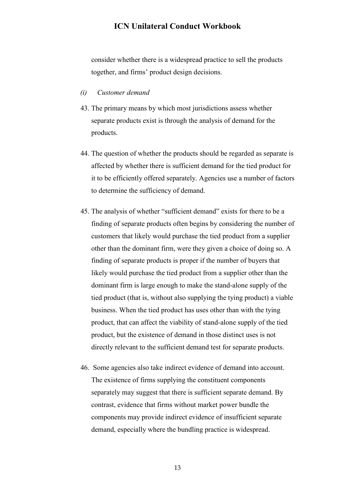consider whether there is a widespread practice to sell the products together, and firms' product design decisions.

#### *(i) Customer demand*

- 43. The primary means by which most jurisdictions assess whether separate products exist is through the analysis of demand for the products.
- 44. The question of whether the products should be regarded as separate is affected by whether there is sufficient demand for the tied product for it to be efficiently offered separately. Agencies use a number of factors to determine the sufficiency of demand.
- 45. The analysis of whether "sufficient demand" exists for there to be a finding of separate products often begins by considering the number of customers that likely would purchase the tied product from a supplier other than the dominant firm, were they given a choice of doing so. A finding of separate products is proper if the number of buyers that likely would purchase the tied product from a supplier other than the dominant firm is large enough to make the stand-alone supply of the tied product (that is, without also supplying the tying product) a viable business. When the tied product has uses other than with the tying product, that can affect the viability of stand-alone supply of the tied product, but the existence of demand in those distinct uses is not directly relevant to the sufficient demand test for separate products.
- 46. Some agencies also take indirect evidence of demand into account. The existence of firms supplying the constituent components separately may suggest that there is sufficient separate demand. By contrast, evidence that firms without market power bundle the components may provide indirect evidence of insufficient separate demand, especially where the bundling practice is widespread.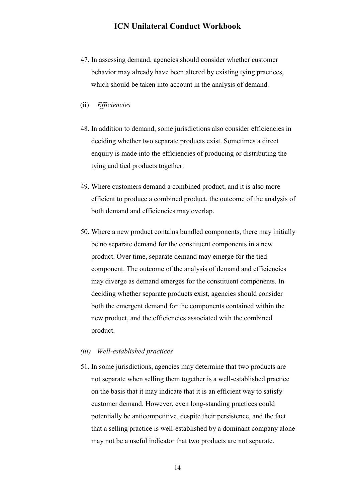- 47. In assessing demand, agencies should consider whether customer behavior may already have been altered by existing tying practices, which should be taken into account in the analysis of demand.
- (ii) *Efficiencies*
- 48. In addition to demand, some jurisdictions also consider efficiencies in deciding whether two separate products exist. Sometimes a direct enquiry is made into the efficiencies of producing or distributing the tying and tied products together.
- 49. Where customers demand a combined product, and it is also more efficient to produce a combined product, the outcome of the analysis of both demand and efficiencies may overlap.
- 50. Where a new product contains bundled components, there may initially be no separate demand for the constituent components in a new product. Over time, separate demand may emerge for the tied component. The outcome of the analysis of demand and efficiencies may diverge as demand emerges for the constituent components. In deciding whether separate products exist, agencies should consider both the emergent demand for the components contained within the new product, and the efficiencies associated with the combined product.

#### *(iii) Well-established practices*

51. In some jurisdictions, agencies may determine that two products are not separate when selling them together is a well-established practice on the basis that it may indicate that it is an efficient way to satisfy customer demand. However, even long-standing practices could potentially be anticompetitive, despite their persistence, and the fact that a selling practice is well-established by a dominant company alone may not be a useful indicator that two products are not separate.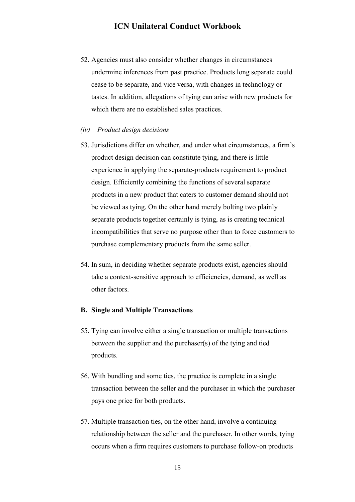- 52. Agencies must also consider whether changes in circumstances undermine inferences from past practice. Products long separate could cease to be separate, and vice versa, with changes in technology or tastes. In addition, allegations of tying can arise with new products for which there are no established sales practices.
- *(iv) Product design decisions*
- 53. Jurisdictions differ on whether, and under what circumstances, a firm's product design decision can constitute tying, and there is little experience in applying the separate-products requirement to product design. Efficiently combining the functions of several separate products in a new product that caters to customer demand should not be viewed as tying. On the other hand merely bolting two plainly separate products together certainly is tying, as is creating technical incompatibilities that serve no purpose other than to force customers to purchase complementary products from the same seller.
- 54. In sum, in deciding whether separate products exist, agencies should take a context-sensitive approach to efficiencies, demand, as well as other factors.

#### <span id="page-14-0"></span>**B. Single and Multiple Transactions**

- 55. Tying can involve either a single transaction or multiple transactions between the supplier and the purchaser(s) of the tying and tied products.
- 56. With bundling and some ties, the practice is complete in a single transaction between the seller and the purchaser in which the purchaser pays one price for both products.
- 57. Multiple transaction ties, on the other hand, involve a continuing relationship between the seller and the purchaser. In other words, tying occurs when a firm requires customers to purchase follow-on products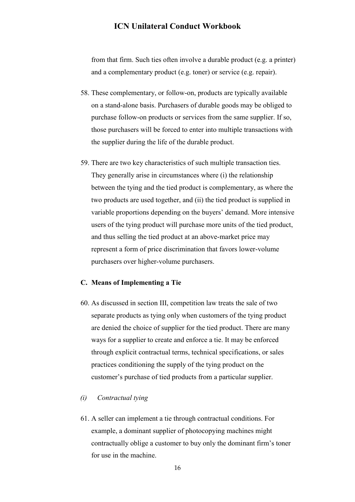from that firm. Such ties often involve a durable product (e.g. a printer) and a complementary product (e.g. toner) or service (e.g. repair).

- 58. These complementary, or follow-on, products are typically available on a stand-alone basis. Purchasers of durable goods may be obliged to purchase follow-on products or services from the same supplier. If so, those purchasers will be forced to enter into multiple transactions with the supplier during the life of the durable product.
- 59. There are two key characteristics of such multiple transaction ties. They generally arise in circumstances where (i) the relationship between the tying and the tied product is complementary, as where the two products are used together, and (ii) the tied product is supplied in variable proportions depending on the buyers' demand. More intensive users of the tying product will purchase more units of the tied product, and thus selling the tied product at an above-market price may represent a form of price discrimination that favors lower-volume purchasers over higher-volume purchasers.

#### <span id="page-15-0"></span>**C. Means of Implementing a Tie**

60. As discussed in section III, competition law treats the sale of two separate products as tying only when customers of the tying product are denied the choice of supplier for the tied product. There are many ways for a supplier to create and enforce a tie. It may be enforced through explicit contractual terms, technical specifications, or sales practices conditioning the supply of the tying product on the customer's purchase of tied products from a particular supplier.

### *(i) Contractual tying*

61. A seller can implement a tie through contractual conditions. For example, a dominant supplier of photocopying machines might contractually oblige a customer to buy only the dominant firm's toner for use in the machine.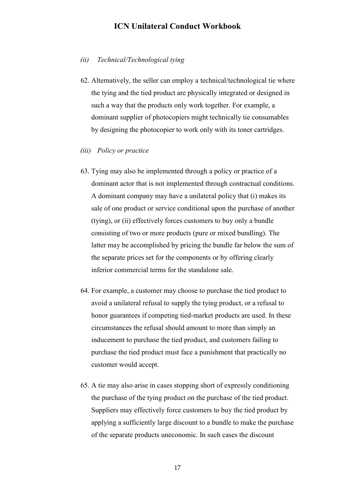#### *(ii) Technical/Technological tying*

- 62. Alternatively, the seller can employ a technical/technological tie where the tying and the tied product are physically integrated or designed in such a way that the products only work together. For example, a dominant supplier of photocopiers might technically tie consumables by designing the photocopier to work only with its toner cartridges.
- *(iii) Policy or practice*
- 63. Tying may also be implemented through a policy or practice of a dominant actor that is not implemented through contractual conditions. A dominant company may have a unilateral policy that (i) makes its sale of one product or service conditional upon the purchase of another (tying), or (ii) effectively forces customers to buy only a bundle consisting of two or more products (pure or mixed bundling). The latter may be accomplished by pricing the bundle far below the sum of the separate prices set for the components or by offering clearly inferior commercial terms for the standalone sale.
- 64. For example, a customer may choose to purchase the tied product to avoid a unilateral refusal to supply the tying product, or a refusal to honor guarantees if competing tied-market products are used. In these circumstances the refusal should amount to more than simply an inducement to purchase the tied product, and customers failing to purchase the tied product must face a punishment that practically no customer would accept.
- 65. A tie may also arise in cases stopping short of expressly conditioning the purchase of the tying product on the purchase of the tied product. Suppliers may effectively force customers to buy the tied product by applying a sufficiently large discount to a bundle to make the purchase of the separate products uneconomic. In such cases the discount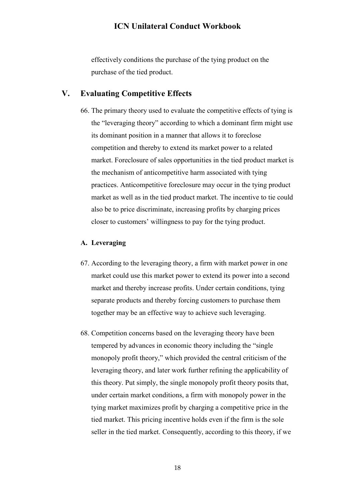effectively conditions the purchase of the tying product on the purchase of the tied product.

## <span id="page-17-0"></span>**V. Evaluating Competitive Effects**

66. The primary theory used to evaluate the competitive effects of tying is the "leveraging theory" according to which a dominant firm might use its dominant position in a manner that allows it to foreclose competition and thereby to extend its market power to a related market. Foreclosure of sales opportunities in the tied product market is the mechanism of anticompetitive harm associated with tying practices. Anticompetitive foreclosure may occur in the tying product market as well as in the tied product market. The incentive to tie could also be to price discriminate, increasing profits by charging prices closer to customers' willingness to pay for the tying product.

#### <span id="page-17-1"></span>**A. Leveraging**

- 67. According to the leveraging theory, a firm with market power in one market could use this market power to extend its power into a second market and thereby increase profits. Under certain conditions, tying separate products and thereby forcing customers to purchase them together may be an effective way to achieve such leveraging.
- 68. Competition concerns based on the leveraging theory have been tempered by advances in economic theory including the "single monopoly profit theory," which provided the central criticism of the leveraging theory, and later work further refining the applicability of this theory. Put simply, the single monopoly profit theory posits that, under certain market conditions, a firm with monopoly power in the tying market maximizes profit by charging a competitive price in the tied market. This pricing incentive holds even if the firm is the sole seller in the tied market. Consequently, according to this theory, if we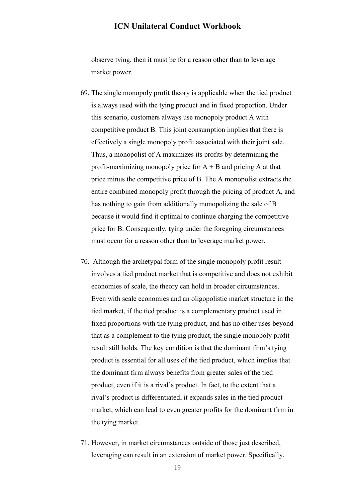observe tying, then it must be for a reason other than to leverage market power.

- 69. The single monopoly profit theory is applicable when the tied product is always used with the tying product and in fixed proportion. Under this scenario, customers always use monopoly product A with competitive product B. This joint consumption implies that there is effectively a single monopoly profit associated with their joint sale. Thus, a monopolist of A maximizes its profits by determining the profit-maximizing monopoly price for  $A + B$  and pricing A at that price minus the competitive price of B. The A monopolist extracts the entire combined monopoly profit through the pricing of product A, and has nothing to gain from additionally monopolizing the sale of B because it would find it optimal to continue charging the competitive price for B. Consequently, tying under the foregoing circumstances must occur for a reason other than to leverage market power.
- 70. Although the archetypal form of the single monopoly profit result involves a tied product market that is competitive and does not exhibit economies of scale, the theory can hold in broader circumstances. Even with scale economies and an oligopolistic market structure in the tied market, if the tied product is a complementary product used in fixed proportions with the tying product, and has no other uses beyond that as a complement to the tying product, the single monopoly profit result still holds. The key condition is that the dominant firm's tying product is essential for all uses of the tied product, which implies that the dominant firm always benefits from greater sales of the tied product, even if it is a rival's product. In fact, to the extent that a rival's product is differentiated, it expands sales in the tied product market, which can lead to even greater profits for the dominant firm in the tying market.
- 71. However, in market circumstances outside of those just described, leveraging can result in an extension of market power. Specifically,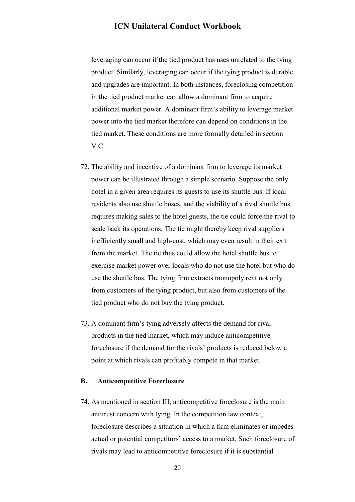leveraging can occur if the tied product has uses unrelated to the tying product. Similarly, leveraging can occur if the tying product is durable and upgrades are important. In both instances, foreclosing competition in the tied product market can allow a dominant firm to acquire additional market power. A dominant firm's ability to leverage market power into the tied market therefore can depend on conditions in the tied market. These conditions are more formally detailed in section V.C.

- 72. The ability and incentive of a dominant firm to leverage its market power can be illustrated through a simple scenario. Suppose the only hotel in a given area requires its guests to use its shuttle bus. If local residents also use shuttle buses, and the viability of a rival shuttle bus requires making sales to the hotel guests, the tie could force the rival to scale back its operations. The tie might thereby keep rival suppliers inefficiently small and high-cost, which may even result in their exit from the market. The tie thus could allow the hotel shuttle bus to exercise market power over locals who do not use the hotel but who do use the shuttle bus. The tying firm extracts monopoly rent not only from customers of the tying product, but also from customers of the tied product who do not buy the tying product.
- 73. A dominant firm's tying adversely affects the demand for rival products in the tied market, which may induce anticompetitive foreclosure if the demand for the rivals' products is reduced below a point at which rivals can profitably compete in that market.

#### <span id="page-19-0"></span>**B. Anticompetitive Foreclosure**

74. As mentioned in section III, anticompetitive foreclosure is the main antitrust concern with tying. In the competition law context, foreclosure describes a situation in which a firm eliminates or impedes actual or potential competitors' access to a market. Such foreclosure of rivals may lead to anticompetitive foreclosure if it is substantial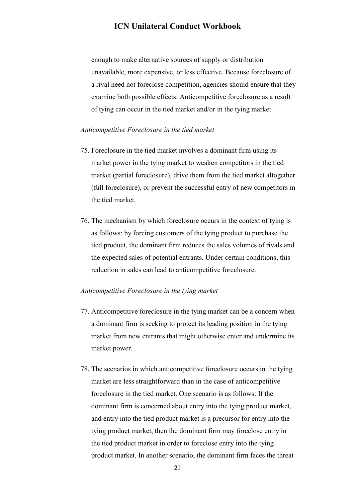enough to make alternative sources of supply or distribution unavailable, more expensive, or less effective. Because foreclosure of a rival need not foreclose competition, agencies should ensure that they examine both possible effects. Anticompetitive foreclosure as a result of tying can occur in the tied market and/or in the tying market.

#### *Anticompetitive Foreclosure in the tied market*

- 75. Foreclosure in the tied market involves a dominant firm using its market power in the tying market to weaken competitors in the tied market (partial foreclosure), drive them from the tied market altogether (full foreclosure), or prevent the successful entry of new competitors in the tied market.
- 76. The mechanism by which foreclosure occurs in the context of tying is as follows: by forcing customers of the tying product to purchase the tied product, the dominant firm reduces the sales volumes of rivals and the expected sales of potential entrants. Under certain conditions, this reduction in sales can lead to anticompetitive foreclosure.

#### *Anticompetitive Foreclosure in the tying market*

- 77. Anticompetitive foreclosure in the tying market can be a concern when a dominant firm is seeking to protect its leading position in the tying market from new entrants that might otherwise enter and undermine its market power.
- 78. The scenarios in which anticompetitive foreclosure occurs in the tying market are less straightforward than in the case of anticompetitive foreclosure in the tied market. One scenario is as follows: If the dominant firm is concerned about entry into the tying product market, and entry into the tied product market is a precursor for entry into the tying product market, then the dominant firm may foreclose entry in the tied product market in order to foreclose entry into the tying product market. In another scenario, the dominant firm faces the threat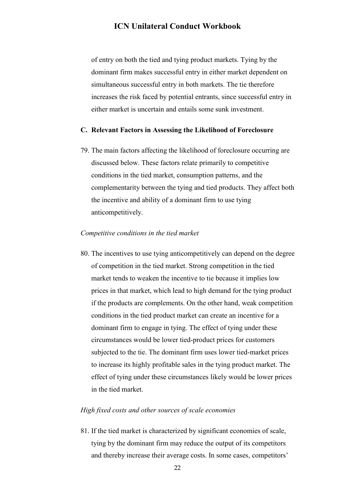of entry on both the tied and tying product markets. Tying by the dominant firm makes successful entry in either market dependent on simultaneous successful entry in both markets. The tie therefore increases the risk faced by potential entrants, since successful entry in either market is uncertain and entails some sunk investment.

#### <span id="page-21-0"></span>**C. Relevant Factors in Assessing the Likelihood of Foreclosure**

79. The main factors affecting the likelihood of foreclosure occurring are discussed below. These factors relate primarily to competitive conditions in the tied market, consumption patterns, and the complementarity between the tying and tied products. They affect both the incentive and ability of a dominant firm to use tying anticompetitively.

#### *Competitive conditions in the tied market*

80. The incentives to use tying anticompetitively can depend on the degree of competition in the tied market. Strong competition in the tied market tends to weaken the incentive to tie because it implies low prices in that market, which lead to high demand for the tying product if the products are complements. On the other hand, weak competition conditions in the tied product market can create an incentive for a dominant firm to engage in tying. The effect of tying under these circumstances would be lower tied-product prices for customers subjected to the tie. The dominant firm uses lower tied-market prices to increase its highly profitable sales in the tying product market. The effect of tying under these circumstances likely would be lower prices in the tied market.

#### *High fixed costs and other sources of scale economies*

81. If the tied market is characterized by significant economies of scale, tying by the dominant firm may reduce the output of its competitors and thereby increase their average costs. In some cases, competitors'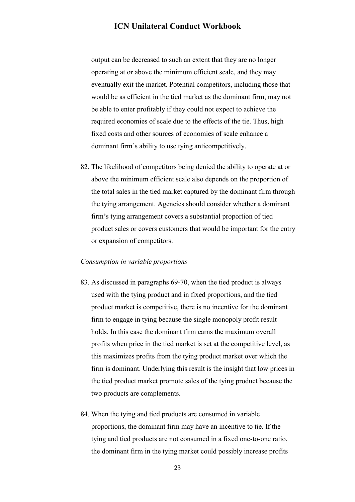output can be decreased to such an extent that they are no longer operating at or above the minimum efficient scale, and they may eventually exit the market. Potential competitors, including those that would be as efficient in the tied market as the dominant firm, may not be able to enter profitably if they could not expect to achieve the required economies of scale due to the effects of the tie. Thus, high fixed costs and other sources of economies of scale enhance a dominant firm's ability to use tying anticompetitively.

82. The likelihood of competitors being denied the ability to operate at or above the minimum efficient scale also depends on the proportion of the total sales in the tied market captured by the dominant firm through the tying arrangement. Agencies should consider whether a dominant firm's tying arrangement covers a substantial proportion of tied product sales or covers customers that would be important for the entry or expansion of competitors.

#### *Consumption in variable proportions*

- 83. As discussed in paragraphs 69-70, when the tied product is always used with the tying product and in fixed proportions, and the tied product market is competitive, there is no incentive for the dominant firm to engage in tying because the single monopoly profit result holds. In this case the dominant firm earns the maximum overall profits when price in the tied market is set at the competitive level, as this maximizes profits from the tying product market over which the firm is dominant. Underlying this result is the insight that low prices in the tied product market promote sales of the tying product because the two products are complements.
- 84. When the tying and tied products are consumed in variable proportions, the dominant firm may have an incentive to tie. If the tying and tied products are not consumed in a fixed one-to-one ratio, the dominant firm in the tying market could possibly increase profits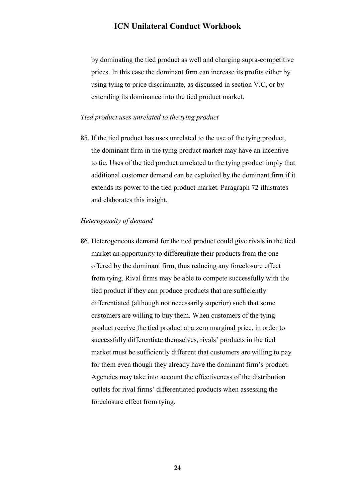by dominating the tied product as well and charging supra-competitive prices. In this case the dominant firm can increase its profits either by using tying to price discriminate, as discussed in section V.C, or by extending its dominance into the tied product market.

#### *Tied product uses unrelated to the tying product*

85. If the tied product has uses unrelated to the use of the tying product, the dominant firm in the tying product market may have an incentive to tie. Uses of the tied product unrelated to the tying product imply that additional customer demand can be exploited by the dominant firm if it extends its power to the tied product market. Paragraph 72 illustrates and elaborates this insight.

#### *Heterogeneity of demand*

86. Heterogeneous demand for the tied product could give rivals in the tied market an opportunity to differentiate their products from the one offered by the dominant firm, thus reducing any foreclosure effect from tying. Rival firms may be able to compete successfully with the tied product if they can produce products that are sufficiently differentiated (although not necessarily superior) such that some customers are willing to buy them. When customers of the tying product receive the tied product at a zero marginal price, in order to successfully differentiate themselves, rivals' products in the tied market must be sufficiently different that customers are willing to pay for them even though they already have the dominant firm's product. Agencies may take into account the effectiveness of the distribution outlets for rival firms' differentiated products when assessing the foreclosure effect from tying.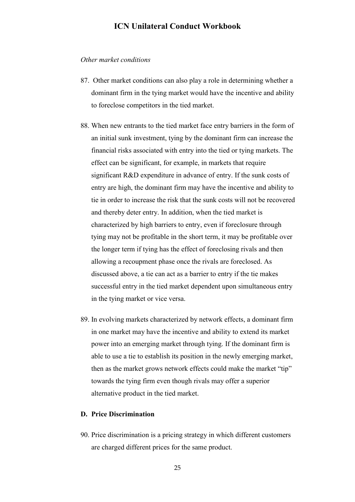#### *Other market conditions*

- 87. Other market conditions can also play a role in determining whether a dominant firm in the tying market would have the incentive and ability to foreclose competitors in the tied market.
- 88. When new entrants to the tied market face entry barriers in the form of an initial sunk investment, tying by the dominant firm can increase the financial risks associated with entry into the tied or tying markets. The effect can be significant, for example, in markets that require significant R&D expenditure in advance of entry. If the sunk costs of entry are high, the dominant firm may have the incentive and ability to tie in order to increase the risk that the sunk costs will not be recovered and thereby deter entry. In addition, when the tied market is characterized by high barriers to entry, even if foreclosure through tying may not be profitable in the short term, it may be profitable over the longer term if tying has the effect of foreclosing rivals and then allowing a recoupment phase once the rivals are foreclosed. As discussed above, a tie can act as a barrier to entry if the tie makes successful entry in the tied market dependent upon simultaneous entry in the tying market or vice versa.
- 89. In evolving markets characterized by network effects, a dominant firm in one market may have the incentive and ability to extend its market power into an emerging market through tying. If the dominant firm is able to use a tie to establish its position in the newly emerging market, then as the market grows network effects could make the market "tip" towards the tying firm even though rivals may offer a superior alternative product in the tied market.

#### <span id="page-24-0"></span>**D. Price Discrimination**

90. Price discrimination is a pricing strategy in which different customers are charged different prices for the same product.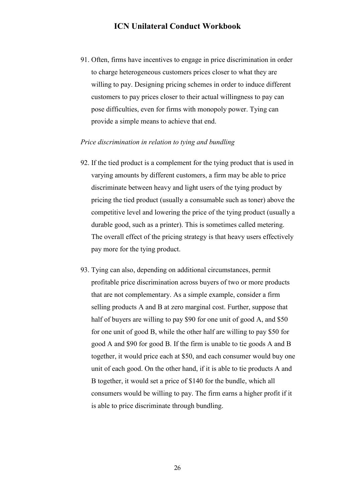91. Often, firms have incentives to engage in price discrimination in order to charge heterogeneous customers prices closer to what they are willing to pay. Designing pricing schemes in order to induce different customers to pay prices closer to their actual willingness to pay can pose difficulties, even for firms with monopoly power. Tying can provide a simple means to achieve that end.

#### *Price discrimination in relation to tying and bundling*

- 92. If the tied product is a complement for the tying product that is used in varying amounts by different customers, a firm may be able to price discriminate between heavy and light users of the tying product by pricing the tied product (usually a consumable such as toner) above the competitive level and lowering the price of the tying product (usually a durable good, such as a printer). This is sometimes called metering. The overall effect of the pricing strategy is that heavy users effectively pay more for the tying product.
- 93. Tying can also, depending on additional circumstances, permit profitable price discrimination across buyers of two or more products that are not complementary. As a simple example, consider a firm selling products A and B at zero marginal cost. Further, suppose that half of buyers are willing to pay \$90 for one unit of good A, and \$50 for one unit of good B, while the other half are willing to pay \$50 for good A and \$90 for good B. If the firm is unable to tie goods A and B together, it would price each at \$50, and each consumer would buy one unit of each good. On the other hand, if it is able to tie products A and B together, it would set a price of \$140 for the bundle, which all consumers would be willing to pay. The firm earns a higher profit if it is able to price discriminate through bundling.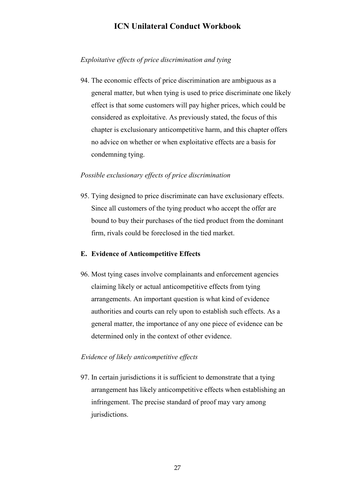#### *Exploitative effects of price discrimination and tying*

94. The economic effects of price discrimination are ambiguous as a general matter, but when tying is used to price discriminate one likely effect is that some customers will pay higher prices, which could be considered as exploitative. As previously stated, the focus of this chapter is exclusionary anticompetitive harm, and this chapter offers no advice on whether or when exploitative effects are a basis for condemning tying.

#### *Possible exclusionary effects of price discrimination*

95. Tying designed to price discriminate can have exclusionary effects. Since all customers of the tying product who accept the offer are bound to buy their purchases of the tied product from the dominant firm, rivals could be foreclosed in the tied market.

#### <span id="page-26-0"></span>**E. Evidence of Anticompetitive Effects**

96. Most tying cases involve complainants and enforcement agencies claiming likely or actual anticompetitive effects from tying arrangements. An important question is what kind of evidence authorities and courts can rely upon to establish such effects. As a general matter, the importance of any one piece of evidence can be determined only in the context of other evidence.

#### *Evidence of likely anticompetitive effects*

97. In certain jurisdictions it is sufficient to demonstrate that a tying arrangement has likely anticompetitive effects when establishing an infringement. The precise standard of proof may vary among jurisdictions.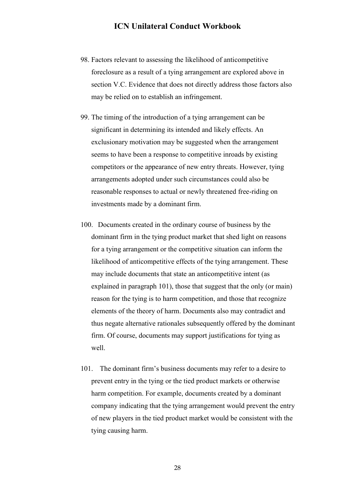- 98. Factors relevant to assessing the likelihood of anticompetitive foreclosure as a result of a tying arrangement are explored above in section V.C. Evidence that does not directly address those factors also may be relied on to establish an infringement.
- 99. The timing of the introduction of a tying arrangement can be significant in determining its intended and likely effects. An exclusionary motivation may be suggested when the arrangement seems to have been a response to competitive inroads by existing competitors or the appearance of new entry threats. However, tying arrangements adopted under such circumstances could also be reasonable responses to actual or newly threatened free-riding on investments made by a dominant firm.
- 100. Documents created in the ordinary course of business by the dominant firm in the tying product market that shed light on reasons for a tying arrangement or the competitive situation can inform the likelihood of anticompetitive effects of the tying arrangement. These may include documents that state an anticompetitive intent (as explained in paragraph 101), those that suggest that the only (or main) reason for the tying is to harm competition, and those that recognize elements of the theory of harm. Documents also may contradict and thus negate alternative rationales subsequently offered by the dominant firm. Of course, documents may support justifications for tying as well.
- 101. The dominant firm's business documents may refer to a desire to prevent entry in the tying or the tied product markets or otherwise harm competition. For example, documents created by a dominant company indicating that the tying arrangement would prevent the entry of new players in the tied product market would be consistent with the tying causing harm.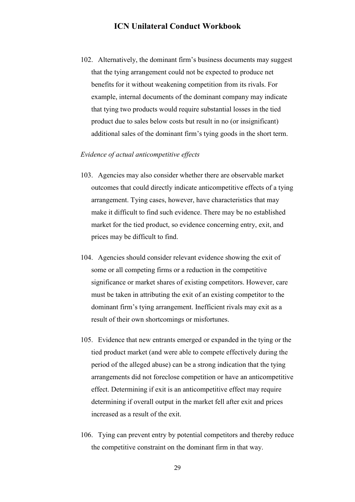102. Alternatively, the dominant firm's business documents may suggest that the tying arrangement could not be expected to produce net benefits for it without weakening competition from its rivals. For example, internal documents of the dominant company may indicate that tying two products would require substantial losses in the tied product due to sales below costs but result in no (or insignificant) additional sales of the dominant firm's tying goods in the short term.

#### *Evidence of actual anticompetitive effects*

- 103. Agencies may also consider whether there are observable market outcomes that could directly indicate anticompetitive effects of a tying arrangement. Tying cases, however, have characteristics that may make it difficult to find such evidence. There may be no established market for the tied product, so evidence concerning entry, exit, and prices may be difficult to find.
- 104. Agencies should consider relevant evidence showing the exit of some or all competing firms or a reduction in the competitive significance or market shares of existing competitors. However, care must be taken in attributing the exit of an existing competitor to the dominant firm's tying arrangement. Inefficient rivals may exit as a result of their own shortcomings or misfortunes.
- 105. Evidence that new entrants emerged or expanded in the tying or the tied product market (and were able to compete effectively during the period of the alleged abuse) can be a strong indication that the tying arrangements did not foreclose competition or have an anticompetitive effect. Determining if exit is an anticompetitive effect may require determining if overall output in the market fell after exit and prices increased as a result of the exit.
- 106. Tying can prevent entry by potential competitors and thereby reduce the competitive constraint on the dominant firm in that way.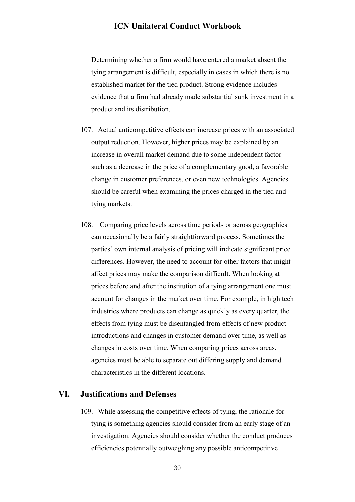Determining whether a firm would have entered a market absent the tying arrangement is difficult, especially in cases in which there is no established market for the tied product. Strong evidence includes evidence that a firm had already made substantial sunk investment in a product and its distribution.

- 107. Actual anticompetitive effects can increase prices with an associated output reduction. However, higher prices may be explained by an increase in overall market demand due to some independent factor such as a decrease in the price of a complementary good, a favorable change in customer preferences, or even new technologies. Agencies should be careful when examining the prices charged in the tied and tying markets.
- 108. Comparing price levels across time periods or across geographies can occasionally be a fairly straightforward process. Sometimes the parties' own internal analysis of pricing will indicate significant price differences. However, the need to account for other factors that might affect prices may make the comparison difficult. When looking at prices before and after the institution of a tying arrangement one must account for changes in the market over time. For example, in high tech industries where products can change as quickly as every quarter, the effects from tying must be disentangled from effects of new product introductions and changes in customer demand over time, as well as changes in costs over time. When comparing prices across areas, agencies must be able to separate out differing supply and demand characteristics in the different locations.

#### <span id="page-29-0"></span>**VI. Justifications and Defenses**

109. While assessing the competitive effects of tying, the rationale for tying is something agencies should consider from an early stage of an investigation. Agencies should consider whether the conduct produces efficiencies potentially outweighing any possible anticompetitive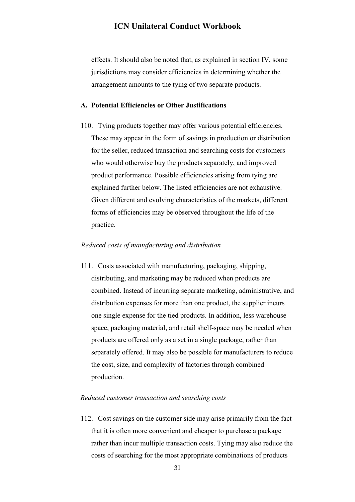<span id="page-30-0"></span>effects. It should also be noted that, as explained in section IV, some jurisdictions may consider efficiencies in determining whether the arrangement amounts to the tying of two separate products.

#### **A. Potential Efficiencies or Other Justifications**

110. Tying products together may offer various potential efficiencies. These may appear in the form of savings in production or distribution for the seller, reduced transaction and searching costs for customers who would otherwise buy the products separately, and improved product performance. Possible efficiencies arising from tying are explained further below. The listed efficiencies are not exhaustive. Given different and evolving characteristics of the markets, different forms of efficiencies may be observed throughout the life of the practice.

#### *Reduced costs of manufacturing and distribution*

111. Costs associated with manufacturing, packaging, shipping, distributing, and marketing may be reduced when products are combined. Instead of incurring separate marketing, administrative, and distribution expenses for more than one product, the supplier incurs one single expense for the tied products. In addition, less warehouse space, packaging material, and retail shelf-space may be needed when products are offered only as a set in a single package, rather than separately offered. It may also be possible for manufacturers to reduce the cost, size, and complexity of factories through combined production.

#### *Reduced customer transaction and searching costs*

112. Cost savings on the customer side may arise primarily from the fact that it is often more convenient and cheaper to purchase a package rather than incur multiple transaction costs. Tying may also reduce the costs of searching for the most appropriate combinations of products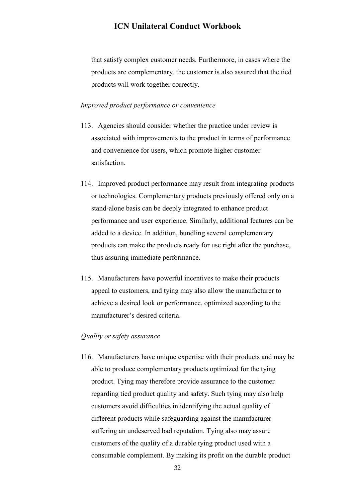that satisfy complex customer needs. Furthermore, in cases where the products are complementary, the customer is also assured that the tied products will work together correctly.

#### *Improved product performance or convenience*

- 113. Agencies should consider whether the practice under review is associated with improvements to the product in terms of performance and convenience for users, which promote higher customer satisfaction.
- 114. Improved product performance may result from integrating products or technologies. Complementary products previously offered only on a stand-alone basis can be deeply integrated to enhance product performance and user experience. Similarly, additional features can be added to a device. In addition, bundling several complementary products can make the products ready for use right after the purchase, thus assuring immediate performance.
- 115. Manufacturers have powerful incentives to make their products appeal to customers, and tying may also allow the manufacturer to achieve a desired look or performance, optimized according to the manufacturer's desired criteria.

#### *Quality or safety assurance*

116. Manufacturers have unique expertise with their products and may be able to produce complementary products optimized for the tying product. Tying may therefore provide assurance to the customer regarding tied product quality and safety. Such tying may also help customers avoid difficulties in identifying the actual quality of different products while safeguarding against the manufacturer suffering an undeserved bad reputation. Tying also may assure customers of the quality of a durable tying product used with a consumable complement. By making its profit on the durable product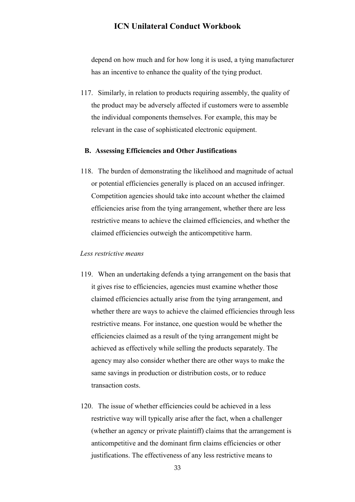depend on how much and for how long it is used, a tying manufacturer has an incentive to enhance the quality of the tying product.

117. Similarly, in relation to products requiring assembly, the quality of the product may be adversely affected if customers were to assemble the individual components themselves. For example, this may be relevant in the case of sophisticated electronic equipment.

#### <span id="page-32-0"></span>**B. Assessing Efficiencies and Other Justifications**

118. The burden of demonstrating the likelihood and magnitude of actual or potential efficiencies generally is placed on an accused infringer. Competition agencies should take into account whether the claimed efficiencies arise from the tying arrangement, whether there are less restrictive means to achieve the claimed efficiencies, and whether the claimed efficiencies outweigh the anticompetitive harm.

#### *Less restrictive means*

- 119. When an undertaking defends a tying arrangement on the basis that it gives rise to efficiencies, agencies must examine whether those claimed efficiencies actually arise from the tying arrangement, and whether there are ways to achieve the claimed efficiencies through less restrictive means. For instance, one question would be whether the efficiencies claimed as a result of the tying arrangement might be achieved as effectively while selling the products separately. The agency may also consider whether there are other ways to make the same savings in production or distribution costs, or to reduce transaction costs.
- 120. The issue of whether efficiencies could be achieved in a less restrictive way will typically arise after the fact, when a challenger (whether an agency or private plaintiff) claims that the arrangement is anticompetitive and the dominant firm claims efficiencies or other justifications. The effectiveness of any less restrictive means to